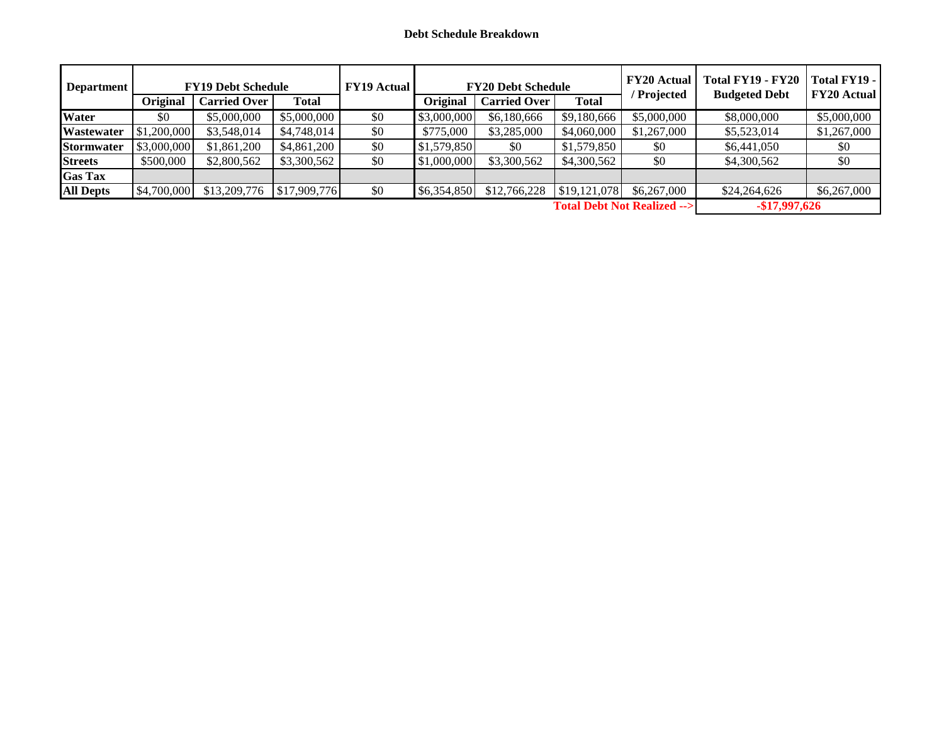| <b>Department</b>                     |             | <b>FY19 Debt Schedule</b> |              | <b>FY19 Actual</b> |                 | <b>FY20 Debt Schedule</b> | Total FY19 - FY20<br><b>Budgeted Debt</b> | Total FY19 -<br><b>FY20 Actual</b> |                |             |
|---------------------------------------|-------------|---------------------------|--------------|--------------------|-----------------|---------------------------|-------------------------------------------|------------------------------------|----------------|-------------|
|                                       | Original    | <b>Carried Over</b>       | <b>Total</b> |                    | <b>Original</b> | <b>Carried Over</b>       | <b>Total</b>                              | ' Projected                        |                |             |
| <b>Water</b>                          | \$0         | \$5,000,000               | \$5,000,000  | \$0                | \$3,000,000     | \$6,180,666               | \$9,180,666                               | \$5,000,000                        | \$8,000,000    | \$5,000,000 |
| <b>Wastewater</b>                     | \$1,200,000 | \$3,548,014               | \$4,748,014  | \$0                | \$775,000       | \$3,285,000               | \$4,060,000                               | \$1,267,000                        | \$5,523,014    | \$1,267,000 |
| <b>Stormwater</b>                     | \$3,000,000 | \$1,861,200               | \$4,861,200  | \$0                | \$1,579,850     | \$0                       | \$1,579,850                               | \$0                                | \$6,441,050    | \$0         |
| <b>Streets</b>                        | \$500,000   | \$2,800,562               | \$3,300,562  | \$0                | \$1,000,000     | \$3,300,562               | \$4,300,562                               | \$0                                | \$4,300,562    | \$0         |
| <b>Gas Tax</b>                        |             |                           |              |                    |                 |                           |                                           |                                    |                |             |
| <b>All Depts</b>                      | \$4,700,000 | \$13,209,776              | \$17,909,776 | \$0                | \$6,354,850     | \$12,766,228              | \$19,121,078                              | \$6,267,000                        | \$24,264,626   | \$6,267,000 |
| <b>Total Debt Not Realized --&gt;</b> |             |                           |              |                    |                 |                           |                                           |                                    | $-$17,997,626$ |             |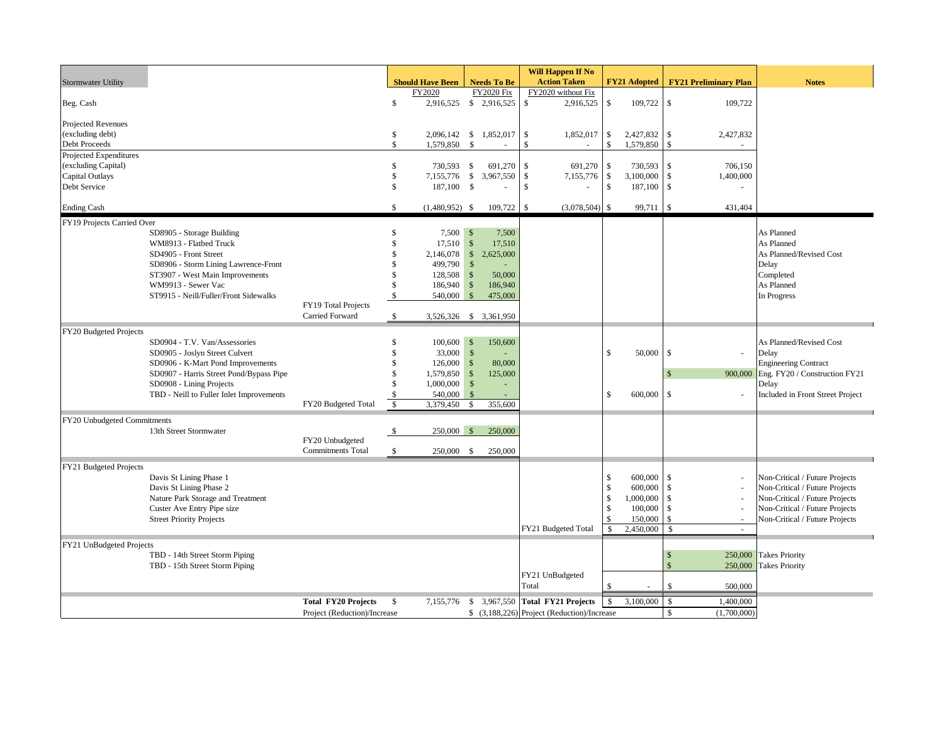|                                   |                                                             |                              |                     |                                     |                      |                    |                    | <b>Will Happen If No</b>                    |                                  |                        |                            |                              |                                  |
|-----------------------------------|-------------------------------------------------------------|------------------------------|---------------------|-------------------------------------|----------------------|--------------------|--------------------|---------------------------------------------|----------------------------------|------------------------|----------------------------|------------------------------|----------------------------------|
| <b>Stormwater Utility</b>         |                                                             |                              |                     | <b>Should Have Been</b>             |                      | <b>Needs To Be</b> |                    | <b>Action Taken</b>                         |                                  | <b>FY21 Adopted</b>    |                            | <b>FY21 Preliminary Plan</b> | <b>Notes</b>                     |
|                                   |                                                             |                              |                     | FY2020                              |                      | <b>FY2020 Fix</b>  |                    | FY2020 without Fix                          |                                  |                        |                            |                              |                                  |
| Beg. Cash                         |                                                             |                              | $\mathcal{S}$       | 2,916,525 \$ 2,916,525              |                      |                    | \$                 | 2,916,525                                   | \$                               | 109,722 \$             |                            | 109,722                      |                                  |
|                                   |                                                             |                              |                     |                                     |                      |                    |                    |                                             |                                  |                        |                            |                              |                                  |
| Projected Revenues                |                                                             |                              |                     |                                     |                      |                    |                    |                                             |                                  |                        |                            |                              |                                  |
| (excluding debt)<br>Debt Proceeds |                                                             |                              | \$<br>$\mathcal{S}$ | 2,096,142 \$ 1,852,017<br>1,579,850 | $\mathbf{\hat{S}}$   |                    | \$<br>$\mathbf{s}$ | 1,852,017                                   | $\sqrt{S}$<br>$\mathbf{\hat{S}}$ | 2,427,832<br>1,579,850 | $\sqrt{S}$<br>$\mathbb{S}$ | 2,427,832                    |                                  |
| Projected Expenditures            |                                                             |                              |                     |                                     |                      |                    |                    |                                             |                                  |                        |                            |                              |                                  |
| (excluding Capital)               |                                                             |                              | \$                  | 730,593                             | \$                   | 691,270            | \$                 | 691,270                                     | -\$                              | 730,593                | \$                         | 706,150                      |                                  |
| Capital Outlays                   |                                                             |                              | \$                  | 7,155,776 \$                        |                      | 3,967,550          | \$                 | 7,155,776                                   | -\$                              | 3,100,000              | $\mathbf{\hat{s}}$         | 1,400,000                    |                                  |
| Debt Service                      |                                                             |                              | $\mathbf{\hat{S}}$  | 187,100 \$                          |                      |                    | $\mathcal{S}$      |                                             | $\mathbf{\hat{S}}$               | 187,100                | $\mathbf{s}$               |                              |                                  |
|                                   |                                                             |                              |                     |                                     |                      |                    |                    |                                             |                                  |                        |                            |                              |                                  |
| <b>Ending Cash</b>                |                                                             |                              | \$                  | $(1,480,952)$ \$                    |                      | 109,722            | \$                 | $(3,078,504)$ \$                            |                                  | 99,711                 | l \$                       | 431,404                      |                                  |
| FY19 Projects Carried Over        |                                                             |                              |                     |                                     |                      |                    |                    |                                             |                                  |                        |                            |                              |                                  |
|                                   | SD8905 - Storage Building                                   |                              | $\mathbf{\hat{S}}$  | 7,500S                              |                      | 7,500              |                    |                                             |                                  |                        |                            |                              | As Planned                       |
|                                   | WM8913 - Flatbed Truck                                      |                              | \$                  | $17,510$ \$                         |                      | 17,510             |                    |                                             |                                  |                        |                            |                              | As Planned                       |
|                                   | SD4905 - Front Street                                       |                              | $\mathbb{S}$        | 2,146,078                           | $\sqrt{S}$           | 2,625,000          |                    |                                             |                                  |                        |                            |                              | As Planned/Revised Cost          |
|                                   | SD8906 - Storm Lining Lawrence-Front                        |                              | \$                  | 499,790                             | $\mathcal{S}$        |                    |                    |                                             |                                  |                        |                            |                              | Delay                            |
|                                   | ST3907 - West Main Improvements                             |                              | \$<br>\$            | 128,508                             | $\mathcal{S}$        | 50,000             |                    |                                             |                                  |                        |                            |                              | Completed                        |
|                                   | WM9913 - Sewer Vac<br>ST9915 - Neill/Fuller/Front Sidewalks |                              | \$                  | 186,940 \$<br>540,000               | $\mathcal{S}$        | 186,940<br>475,000 |                    |                                             |                                  |                        |                            |                              | As Planned<br>In Progress        |
|                                   |                                                             | FY19 Total Projects          |                     |                                     |                      |                    |                    |                                             |                                  |                        |                            |                              |                                  |
|                                   |                                                             | Carried Forward              | \$                  | 3,526,326 \$ 3,361,950              |                      |                    |                    |                                             |                                  |                        |                            |                              |                                  |
|                                   |                                                             |                              |                     |                                     |                      |                    |                    |                                             |                                  |                        |                            |                              |                                  |
| FY20 Budgeted Projects            | SD0904 - T.V. Van/Assessories                               |                              | \$                  | $100,600$ \$                        |                      | 150,600            |                    |                                             |                                  |                        |                            |                              | As Planned/Revised Cost          |
|                                   | SD0905 - Joslyn Street Culvert                              |                              | \$                  | 33,000                              | $\sqrt{\frac{2}{5}}$ |                    |                    |                                             | \$                               | 50,000                 | $\mathbf{\hat{s}}$         | ÷,                           | Delay                            |
|                                   | SD0906 - K-Mart Pond Improvements                           |                              | \$                  | 126,000                             | \$                   | 80,000             |                    |                                             |                                  |                        |                            |                              | <b>Engineering Contract</b>      |
|                                   | SD0907 - Harris Street Pond/Bypass Pipe                     |                              | \$                  | 1,579,850 \$                        |                      | 125,000            |                    |                                             |                                  |                        | $\mathbb{S}$               | 900,000                      | Eng. FY20 / Construction FY21    |
|                                   | SD0908 - Lining Projects                                    |                              | $\mathcal{S}$       | $1,000,000$ \$                      |                      |                    |                    |                                             |                                  |                        |                            |                              | Delay                            |
|                                   | TBD - Neill to Fuller Inlet Improvements                    |                              | \$                  | 540,000                             | - \$                 |                    |                    |                                             | \$.                              | 600,000                | <sup>\$</sup>              |                              | Included in Front Street Project |
|                                   |                                                             | FY20 Budgeted Total          | $\mathcal{S}$       | 3,379,450                           | \$                   | 355,600            |                    |                                             |                                  |                        |                            |                              |                                  |
| FY20 Unbudgeted Commitments       |                                                             |                              |                     |                                     |                      |                    |                    |                                             |                                  |                        |                            |                              |                                  |
|                                   | 13th Street Stormwater                                      |                              | -\$                 | 250,000 \$                          |                      | 250,000            |                    |                                             |                                  |                        |                            |                              |                                  |
|                                   |                                                             | FY20 Unbudgeted              |                     |                                     |                      |                    |                    |                                             |                                  |                        |                            |                              |                                  |
|                                   |                                                             | <b>Commitments Total</b>     | \$                  | 250,000 \$                          |                      | 250,000            |                    |                                             |                                  |                        |                            |                              |                                  |
| FY21 Budgeted Projects            |                                                             |                              |                     |                                     |                      |                    |                    |                                             |                                  |                        |                            |                              |                                  |
|                                   | Davis St Lining Phase 1                                     |                              |                     |                                     |                      |                    |                    |                                             | £.                               | 600,000                | -S                         |                              | Non-Critical / Future Projects   |
|                                   | Davis St Lining Phase 2                                     |                              |                     |                                     |                      |                    |                    |                                             | \$                               | 600,000                | $\mathbb{S}$               |                              | Non-Critical / Future Projects   |
|                                   | Nature Park Storage and Treatment                           |                              |                     |                                     |                      |                    |                    |                                             | -S                               | 1,000,000              |                            |                              | Non-Critical / Future Projects   |
|                                   | Custer Ave Entry Pipe size                                  |                              |                     |                                     |                      |                    |                    |                                             | \$                               | 100,000                | £.                         | $\sim$                       | Non-Critical / Future Projects   |
|                                   | <b>Street Priority Projects</b>                             |                              |                     |                                     |                      |                    |                    |                                             |                                  | 150,000                | £.                         |                              | Non-Critical / Future Projects   |
|                                   |                                                             |                              |                     |                                     |                      |                    |                    | FY21 Budgeted Total                         | $\mathcal{S}$                    | 2,450,000              | $\mathcal{S}$              | $\omega$                     |                                  |
| FY21 UnBudgeted Projects          |                                                             |                              |                     |                                     |                      |                    |                    |                                             |                                  |                        |                            |                              |                                  |
|                                   | TBD - 14th Street Storm Piping                              |                              |                     |                                     |                      |                    |                    |                                             |                                  |                        | $\mathbb{S}$               | 250,000                      | <b>Takes Priority</b>            |
|                                   | TBD - 15th Street Storm Piping                              |                              |                     |                                     |                      |                    |                    | FY21 UnBudgeted                             |                                  |                        |                            |                              | 250,000 Takes Priority           |
|                                   |                                                             |                              |                     |                                     |                      |                    | Total              |                                             | $\mathcal{S}$                    |                        | \$                         | 500,000                      |                                  |
|                                   |                                                             |                              |                     |                                     |                      |                    |                    |                                             |                                  |                        |                            |                              |                                  |
|                                   |                                                             | <b>Total FY20 Projects</b>   | - \$                | 7,155,776                           |                      | \$3,967,550        |                    | <b>Total FY21 Projects</b>                  | \$                               | 3.100,000              | $\mathcal{S}$              | 1,400,000                    |                                  |
|                                   |                                                             | Project (Reduction)/Increase |                     |                                     |                      |                    |                    | \$ (3,188,226) Project (Reduction)/Increase |                                  |                        | <sup>\$</sup>              | (1,700,000)                  |                                  |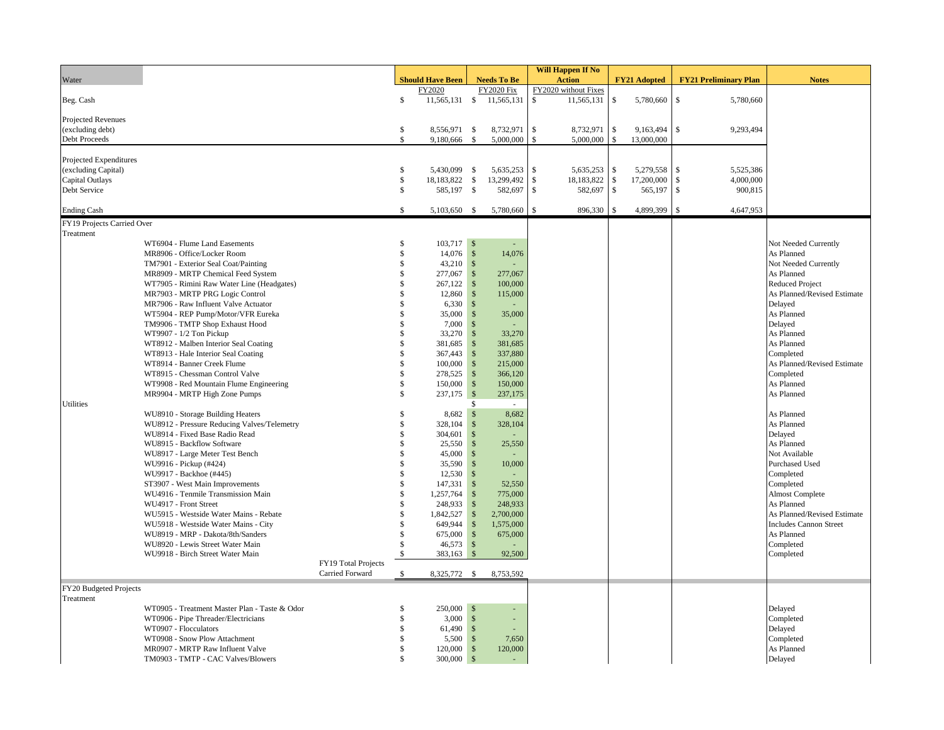| Will Happen If No                                                                                                                                             |                              |                               |
|---------------------------------------------------------------------------------------------------------------------------------------------------------------|------------------------------|-------------------------------|
| <b>Action</b><br>Water<br><b>Should Have Been</b><br><b>FY21 Adopted</b><br><b>Needs To Be</b>                                                                | <b>FY21 Preliminary Plan</b> | <b>Notes</b>                  |
| FY2020<br><b>FY2020 Fix</b><br>FY2020 without Fixes                                                                                                           |                              |                               |
| $\mathbb{S}$<br>11,565,131 \$ 11,565,131<br>$\mathcal{S}$<br>\$<br>11,565,131<br>5,780,660<br>Beg. Cash                                                       | $\mathbb{S}$<br>5,780,660    |                               |
|                                                                                                                                                               |                              |                               |
| Projected Revenues                                                                                                                                            |                              |                               |
| $\mathbb{S}$<br>\$<br>8,556,971 \$<br>8,732,971<br>$\mathbb{S}$<br>8,732,971<br>9,163,494<br>(excluding debt)<br>Debt Proceeds<br>$\mathbb{S}$<br>$\mathbb S$ | $\mathbb{S}$<br>9,293,494    |                               |
| \$<br>$\mathbf{\hat{s}}$<br>5,000,000<br>5,000,000<br>13,000,000<br>9,180,666                                                                                 |                              |                               |
| Projected Expenditures                                                                                                                                        |                              |                               |
| (excluding Capital)<br>\$<br>5,635,253<br><sup>\$</sup><br>5,635,253<br>$\mathbb{S}$<br>5,279,558<br>5,430,099 \$                                             | $\mathbf{s}$<br>5,525,386    |                               |
| $\mathbb{S}$<br>\$<br>18,183,822 \$<br>13,299,492<br>18,183,822<br>$\mathbb{S}$<br>17,200,000<br>Capital Outlays                                              | $\mathbb{S}$<br>4,000,000    |                               |
| $\mathbb{S}$<br>582,697<br>$\mathbb{S}$<br>582,697<br>$\mathbb{S}$<br>Debt Service<br>585,197 \$<br>565,197                                                   | 900,815<br>$\mathbb{S}$      |                               |
|                                                                                                                                                               |                              |                               |
| <b>Ending Cash</b><br>$\mathcal{S}$<br>5,103,650 \$<br>5,780,660<br>-S<br>896,330<br>$\mathbf S$<br>4,899,399 \$                                              | 4,647,953                    |                               |
| FY19 Projects Carried Over                                                                                                                                    |                              |                               |
| Treatment                                                                                                                                                     |                              |                               |
| 103,717 \$<br>WT6904 - Flume Land Easements<br>\$<br>$\sim$                                                                                                   |                              | Not Needed Currently          |
| \$<br>14,076 \$<br>14,076<br>MR8906 - Office/Locker Room                                                                                                      |                              | As Planned                    |
| \$<br>$43,210$ \$<br>TM7901 - Exterior Seal Coat/Painting                                                                                                     |                              | Not Needed Currently          |
| $\mathcal{S}$<br>MR8909 - MRTP Chemical Feed System<br>\$<br>277,067<br>277,067                                                                               |                              | As Planned                    |
| \$<br>$\sqrt{5}$<br>WT7905 - Rimini Raw Water Line (Headgates)<br>267,122<br>100,000                                                                          |                              | Reduced Project               |
| MR7903 - MRTP PRG Logic Control<br>\$<br>12,860<br>$\mathcal{S}$<br>115,000                                                                                   |                              | As Planned/Revised Estimate   |
| $\mathbf S$<br>$\sqrt{5}$<br>MR7906 - Raw Influent Valve Actuator<br>6,330                                                                                    |                              | Delayed                       |
| $\mathbf S$<br>$\mathbf{\hat{s}}$<br>WT5904 - REP Pump/Motor/VFR Eureka<br>35,000<br>35,000                                                                   |                              | As Planned                    |
| $\mathbf S$<br>TM9906 - TMTP Shop Exhaust Hood<br>7,000<br>$\mathcal{S}$                                                                                      |                              | Delayed                       |
| $\mathbf S$<br>$\mathcal{S}$<br>WT9907 - 1/2 Ton Pickup<br>33,270<br>33,270                                                                                   |                              | As Planned                    |
| \$<br>381,685<br>$\mathcal{S}$<br>WT8912 - Malben Interior Seal Coating<br>381,685                                                                            |                              | As Planned                    |
| $\mathbf S$<br>$\mathcal{S}$<br>367,443<br>337,880<br>WT8913 - Hale Interior Seal Coating                                                                     |                              | Completed                     |
| $\mathbf S$<br>$\mathcal{S}$<br>100,000<br>215,000<br>WT8914 - Banner Creek Flume                                                                             |                              | As Planned/Revised Estimate   |
| $\mathbf S$<br>$\mathcal{S}$<br>278,525<br>366,120<br>WT8915 - Chessman Control Valve                                                                         |                              | Completed                     |
| $\mathbf S$<br>$\mathcal{S}$<br>WT9908 - Red Mountain Flume Engineering<br>150,000<br>150,000                                                                 |                              | As Planned                    |
| $\mathbb{S}$<br>237,175 \$<br>MR9904 - MRTP High Zone Pumps<br>237,175                                                                                        |                              | As Planned                    |
| Utilities<br>\$<br>$\sim$                                                                                                                                     |                              |                               |
| 8,682 \$<br>\$<br>WU8910 - Storage Building Heaters<br>8,682                                                                                                  |                              | As Planned                    |
| $\mathbf S$<br>$\sqrt{5}$<br>WU8912 - Pressure Reducing Valves/Telemetry<br>328,104<br>328,104                                                                |                              | As Planned                    |
| $\mathbf S$<br>$\mathcal{S}$<br>WU8914 - Fixed Base Radio Read<br>304,601                                                                                     |                              | Delayed                       |
| \$<br>$\mathcal{S}$<br>WU8915 - Backflow Software<br>25,550<br>25,550                                                                                         |                              | As Planned                    |
| $\mathbf{\hat{s}}$<br>45,000<br>$\mathcal{S}$<br>WU8917 - Large Meter Test Bench                                                                              |                              | Not Available                 |
| $\mathcal{S}$<br>10,000<br>WU9916 - Pickup (#424)<br>\$<br>35,590<br>$\mathcal{S}$<br>\$                                                                      |                              | Purchased Used                |
| WU9917 - Backhoe (#445)<br>12,530<br>\$<br>147,331<br>52,550<br>ST3907 - West Main Improvements<br>$\mathcal{S}$                                              |                              | Completed<br>Completed        |
| $\mathbf S$<br>$\mathcal{S}$<br>WU4916 - Tenmile Transmission Main<br>1,257,764<br>775,000                                                                    |                              | <b>Almost Complete</b>        |
| WU4917 - Front Street<br>248,933<br>$\mathcal{S}$<br>248,933<br>\$                                                                                            |                              | As Planned                    |
| $\mathcal{S}$<br>WU5915 - Westside Water Mains - Rebate<br>\$<br>1,842,527<br>2,700,000                                                                       |                              | As Planned/Revised Estimate   |
| WU5918 - Westside Water Mains - City<br>\$<br>649,944<br>$\mathcal{S}$<br>1,575,000                                                                           |                              | <b>Includes Cannon Street</b> |
| $\mathbf{\hat{s}}$<br>WU8919 - MRP - Dakota/8th/Sanders<br>\$<br>675,000<br>675,000                                                                           |                              | As Planned                    |
| \$<br>46,573<br>$\mathcal{S}$<br>WU8920 - Lewis Street Water Main                                                                                             |                              | Completed                     |
| WU9918 - Birch Street Water Main<br>\$<br>383,163<br>$\mathbf{s}$<br>92,500                                                                                   |                              | Completed                     |
| FY19 Total Projects                                                                                                                                           |                              |                               |
| Carried Forward<br>8,325,772 \$<br>8,753,592<br>\$                                                                                                            |                              |                               |
| FY20 Budgeted Projects                                                                                                                                        |                              |                               |
| Treatment                                                                                                                                                     |                              |                               |
| $250,000$ \$<br>WT0905 - Treatment Master Plan - Taste & Odor<br>\$<br>÷.                                                                                     |                              | Delayed                       |
| $\mathbf{\hat{S}}$<br>WT0906 - Pipe Threader/Electricians<br>3,000<br>$\mathcal{S}$                                                                           |                              | Completed                     |
| WT0907 - Flocculators<br>\$<br>61,490 \$                                                                                                                      |                              | Delayed                       |
| \$<br>5,500<br>$\sqrt{5}$<br>7,650<br>WT0908 - Snow Plow Attachment                                                                                           |                              | Completed                     |
| MR0907 - MRTP Raw Influent Valve<br>\$<br>$\mathcal{S}$<br>120,000<br>120,000                                                                                 |                              | As Planned                    |
| TM0903 - TMTP - CAC Valves/Blowers<br>$\mathcal{S}$<br>$300,000$ \$                                                                                           |                              | Delayed                       |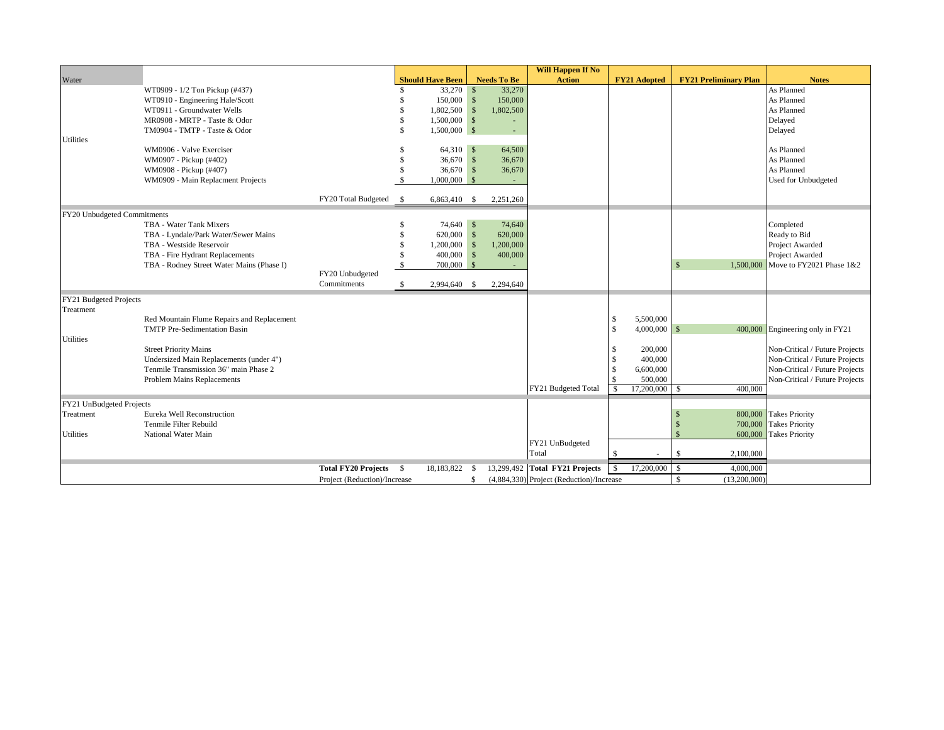|                             |                                            |                              |              |                         |               |                    | <b>Will Happen If No</b>                 |               |                          |                              |                                  |
|-----------------------------|--------------------------------------------|------------------------------|--------------|-------------------------|---------------|--------------------|------------------------------------------|---------------|--------------------------|------------------------------|----------------------------------|
| Water                       |                                            |                              |              | <b>Should Have Been</b> |               | <b>Needs To Be</b> | <b>Action</b>                            |               | <b>FY21 Adopted</b>      | <b>FY21 Preliminary Plan</b> | <b>Notes</b>                     |
|                             | WT0909 - 1/2 Ton Pickup (#437)             |                              |              | 33,270 \$               |               | 33,270             |                                          |               |                          |                              | As Planned                       |
|                             | WT0910 - Engineering Hale/Scott            |                              |              | 150,000 \$              |               | 150,000            |                                          |               |                          |                              | As Planned                       |
|                             | WT0911 - Groundwater Wells                 |                              | - \$         | 1,802,500               | $\mathbf{s}$  | 1,802,500          |                                          |               |                          |                              | As Planned                       |
|                             | MR0908 - MRTP - Taste & Odor               |                              | \$           | $1,500,000$ \$          |               |                    |                                          |               |                          |                              | Delayed                          |
|                             | TM0904 - TMTP - Taste & Odor               |                              | $\mathbf{s}$ | $1,500,000$ \$          |               | ÷,                 |                                          |               |                          |                              | Delayed                          |
| Utilities                   |                                            |                              |              |                         |               |                    |                                          |               |                          |                              |                                  |
|                             | WM0906 - Valve Exerciser                   |                              |              | 64,310 \$               |               | 64,500             |                                          |               |                          |                              | As Planned                       |
|                             | WM0907 - Pickup (#402)                     |                              | -\$          | $36,670$ \$             |               | 36,670             |                                          |               |                          |                              | As Planned                       |
|                             | WM0908 - Pickup (#407)                     |                              | -S           | $36,670$ \$             |               | 36,670             |                                          |               |                          |                              | As Planned                       |
|                             | WM0909 - Main Replacment Projects          |                              |              | 1,000,000               | $\mathcal{S}$ | ÷.                 |                                          |               |                          |                              | Used for Unbudgeted              |
|                             |                                            |                              |              |                         |               |                    |                                          |               |                          |                              |                                  |
|                             |                                            | FY20 Total Budgeted \$       |              | 6,863,410 \$            |               | 2,251,260          |                                          |               |                          |                              |                                  |
| FY20 Unbudgeted Commitments |                                            |                              |              |                         |               |                    |                                          |               |                          |                              |                                  |
|                             | TBA - Water Tank Mixers                    |                              | -8           | 74,640 \$               |               | 74,640             |                                          |               |                          |                              | Completed                        |
|                             | TBA - Lyndale/Park Water/Sewer Mains       |                              | - \$         | 620,000 \$              |               | 620,000            |                                          |               |                          |                              | Ready to Bid                     |
|                             | TBA - Westside Reservoir                   |                              | $\mathbf{s}$ | 1,200,000               | $\mathbf{s}$  | 1,200,000          |                                          |               |                          |                              | Project Awarded                  |
|                             | TBA - Fire Hydrant Replacements            |                              | -S           | 400,000                 | $\mathbf{s}$  | 400,000            |                                          |               |                          |                              | Project Awarded                  |
|                             | TBA - Rodney Street Water Mains (Phase I)  |                              |              | 700,000                 | $\mathcal{S}$ |                    |                                          |               |                          | $\mathcal{S}$<br>1,500,000   | Move to FY2021 Phase 1&2         |
|                             |                                            | FY20 Unbudgeted              |              |                         |               |                    |                                          |               |                          |                              |                                  |
|                             |                                            | Commitments                  | \$           | 2,994,640 \$            |               | 2,294,640          |                                          |               |                          |                              |                                  |
| FY21 Budgeted Projects      |                                            |                              |              |                         |               |                    |                                          |               |                          |                              |                                  |
| Treatment                   |                                            |                              |              |                         |               |                    |                                          |               |                          |                              |                                  |
|                             | Red Mountain Flume Repairs and Replacement |                              |              |                         |               |                    |                                          | S             | 5,500,000                |                              |                                  |
|                             | <b>TMTP</b> Pre-Sedimentation Basin        |                              |              |                         |               |                    |                                          | S             | $4,000,000$ \$           |                              | 400,000 Engineering only in FY21 |
| Utilities                   |                                            |                              |              |                         |               |                    |                                          |               |                          |                              |                                  |
|                             | <b>Street Priority Mains</b>               |                              |              |                         |               |                    |                                          | S             | 200,000                  |                              | Non-Critical / Future Projects   |
|                             | Undersized Main Replacements (under 4")    |                              |              |                         |               |                    |                                          | <sup>\$</sup> | 400,000                  |                              | Non-Critical / Future Projects   |
|                             | Tenmile Transmission 36" main Phase 2      |                              |              |                         |               |                    |                                          | -S            | 6,600,000                |                              | Non-Critical / Future Projects   |
|                             | Problem Mains Replacements                 |                              |              |                         |               |                    |                                          |               | 500,000                  |                              | Non-Critical / Future Projects   |
|                             |                                            |                              |              |                         |               |                    | FY21 Budgeted Total                      | $\mathcal{S}$ | 17,200,000               | 400,000<br>$\mathbb{S}$      |                                  |
| FY21 UnBudgeted Projects    |                                            |                              |              |                         |               |                    |                                          |               |                          |                              |                                  |
| Treatment                   | Eureka Well Reconstruction                 |                              |              |                         |               |                    |                                          |               |                          |                              | 800,000 Takes Priority           |
|                             | Tenmile Filter Rebuild                     |                              |              |                         |               |                    |                                          |               |                          | 700,000                      | <b>Takes Priority</b>            |
| Jtilities                   | National Water Main                        |                              |              |                         |               |                    |                                          |               |                          | 600,000                      | <b>Takes Priority</b>            |
|                             |                                            |                              |              |                         |               |                    | FY21 UnBudgeted                          |               |                          |                              |                                  |
|                             |                                            |                              |              |                         |               |                    | Total                                    | -S            | $\overline{\phantom{a}}$ | S<br>2,100,000               |                                  |
|                             |                                            | <b>Total FY20 Projects</b>   | $\mathbf{s}$ | 18,183,822              | -S            |                    | 13,299,492 Total FY21 Projects           | $\mathbb{S}$  | 17,200,000               | 4,000,000<br>$\mathbb{S}$    |                                  |
|                             |                                            | Project (Reduction)/Increase |              |                         | S             |                    | (4,884,330) Project (Reduction)/Increase |               |                          | (13,200,000)<br>$\mathbb{S}$ |                                  |
|                             |                                            |                              |              |                         |               |                    |                                          |               |                          |                              |                                  |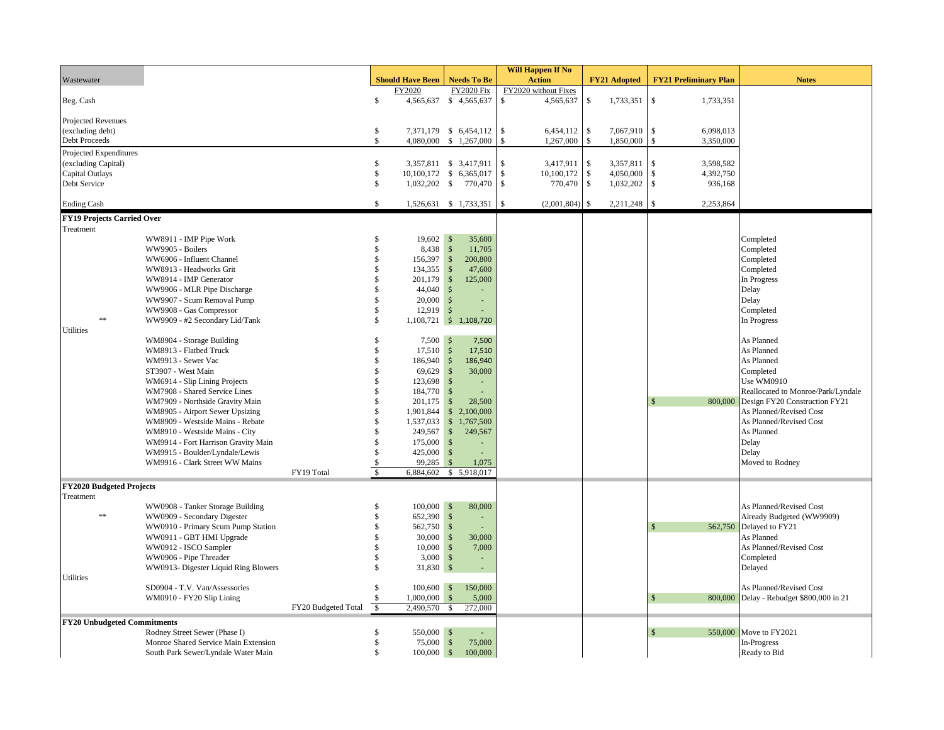|                                    |                                                                    |                     |                    |                            |                                        |              | Will Happen If No    |                     |                              |           |                                    |
|------------------------------------|--------------------------------------------------------------------|---------------------|--------------------|----------------------------|----------------------------------------|--------------|----------------------|---------------------|------------------------------|-----------|------------------------------------|
| Wastewater                         |                                                                    |                     |                    | <b>Should Have Been</b>    | <b>Needs To Be</b>                     |              | <b>Action</b>        | <b>FY21 Adopted</b> | <b>FY21 Preliminary Plan</b> |           | <b>Notes</b>                       |
|                                    |                                                                    |                     |                    | FY2020                     | <b>FY2020 Fix</b>                      |              | FY2020 without Fixes |                     |                              |           |                                    |
| Beg. Cash                          |                                                                    |                     | $\$$               |                            | 4,565,637 \$ 4,565,637                 | \$           | 4,565,637            | \$<br>1,733,351     | $\mathbb{S}$                 | 1,733,351 |                                    |
|                                    |                                                                    |                     |                    |                            |                                        |              |                      |                     |                              |           |                                    |
| Projected Revenues                 |                                                                    |                     |                    |                            |                                        |              |                      |                     |                              |           |                                    |
| (excluding debt)                   |                                                                    |                     | \$                 |                            | 7,371,179 \$ 6,454,112                 | $\mathbb{S}$ | 6,454,112            | \$<br>7,067,910     | \$                           | 6,098,013 |                                    |
| Debt Proceeds                      |                                                                    |                     | \$                 |                            | 4,080,000 \$ 1,267,000                 | \$           | 1,267,000            | \$<br>1,850,000     | $\mathbf{s}$                 | 3,350,000 |                                    |
| Projected Expenditures             |                                                                    |                     |                    |                            |                                        |              |                      |                     |                              |           |                                    |
| (excluding Capital)                |                                                                    |                     | \$                 |                            | 3,357,811 \$ 3,417,911                 | \$           | 3,417,911            | \$<br>3,357,811     | \$                           | 3,598,582 |                                    |
| Capital Outlays                    |                                                                    |                     | \$                 |                            | 10,100,172 \$ 6,365,017                | \$           | 10,100,172           | \$<br>4,050,000     | $\mathbb{S}$                 | 4,392,750 |                                    |
| Debt Service                       |                                                                    |                     | \$                 |                            | 1,032,202 \$ 770,470                   | \$           | 770,470              | \$<br>1,032,202     | $\mathbb{S}$                 | 936,168   |                                    |
|                                    |                                                                    |                     |                    |                            |                                        |              |                      |                     |                              |           |                                    |
| <b>Ending Cash</b>                 |                                                                    |                     | S.                 |                            | 1,526,631 \$ 1,733,351                 | -\$          | (2,001,804)          | \$<br>2,211,248     | \$                           | 2,253,864 |                                    |
| <b>FY19 Projects Carried Over</b>  |                                                                    |                     |                    |                            |                                        |              |                      |                     |                              |           |                                    |
| Treatment                          |                                                                    |                     |                    |                            |                                        |              |                      |                     |                              |           |                                    |
|                                    | WW8911 - IMP Pipe Work                                             |                     | Ś                  | $19,602$ \$                | 35,600                                 |              |                      |                     |                              |           | Completed                          |
|                                    | WW9905 - Boilers                                                   |                     | \$                 | 8,438 \$                   | 11,705                                 |              |                      |                     |                              |           | Completed                          |
|                                    | WW6906 - Influent Channel                                          |                     | \$                 | 156,397                    | $\sqrt{S}$<br>200,800                  |              |                      |                     |                              |           | Completed                          |
|                                    | WW8913 - Headworks Grit                                            |                     | \$                 | 134,355                    | $\sqrt{S}$<br>47,600                   |              |                      |                     |                              |           | Completed                          |
|                                    | WW8914 - IMP Generator                                             |                     | S                  | 201,179                    | $\sqrt{S}$<br>125,000                  |              |                      |                     |                              |           | In Progress                        |
|                                    | WW9906 - MLR Pipe Discharge                                        |                     | \$                 | 44,040                     | $\ddot{\mathsf{S}}$                    |              |                      |                     |                              |           | Delay                              |
|                                    | WW9907 - Scum Removal Pump                                         |                     | Ś                  | $20,000$ \$                |                                        |              |                      |                     |                              |           | Delay                              |
| **                                 | WW9908 - Gas Compressor                                            |                     | \$<br>\$           | $12,919$ \$                |                                        |              |                      |                     |                              |           | Completed                          |
| Utilities                          | WW9909 - #2 Secondary Lid/Tank                                     |                     |                    |                            | 1,108,721 \$ 1,108,720                 |              |                      |                     |                              |           | In Progress                        |
|                                    | WM8904 - Storage Building                                          |                     | \$                 | $7,500$ \$                 | 7,500                                  |              |                      |                     |                              |           | As Planned                         |
|                                    | WM8913 - Flatbed Truck                                             |                     | \$                 | $17,510$ \$                | 17,510                                 |              |                      |                     |                              |           | As Planned                         |
|                                    | WM9913 - Sewer Vac                                                 |                     | \$                 | 186,940                    | $\ddot{\mathsf{S}}$<br>186,940         |              |                      |                     |                              |           | As Planned                         |
|                                    | ST3907 - West Main                                                 |                     |                    | 69,629                     | $\sqrt{5}$<br>30,000                   |              |                      |                     |                              |           | Completed                          |
|                                    | WM6914 - Slip Lining Projects                                      |                     | \$                 | 123,698                    | $\sqrt{5}$<br>$\overline{\phantom{a}}$ |              |                      |                     |                              |           | Use WM0910                         |
|                                    | WM7908 - Shared Service Lines                                      |                     | S                  | 184,770                    | $\sqrt{5}$                             |              |                      |                     |                              |           | Reallocated to Monroe/Park/Lyndale |
|                                    |                                                                    |                     | \$                 | 201,175                    | $\sqrt{S}$<br>28,500                   |              |                      |                     |                              | 800,000   | Design FY20 Construction FY21      |
|                                    | WM7909 - Northside Gravity Main<br>WM8905 - Airport Sewer Upsizing |                     | \$                 | 1,901,844                  | \$2,100,000                            |              |                      |                     |                              |           | As Planned/Revised Cost            |
|                                    | WM8909 - Westside Mains - Rebate                                   |                     | \$                 |                            | 1,537,033 \$ 1,767,500                 |              |                      |                     |                              |           | As Planned/Revised Cost            |
|                                    | WM8910 - Westside Mains - City                                     |                     | \$                 | 249,567                    | $\sqrt{S}$<br>249,567                  |              |                      |                     |                              |           | As Planned                         |
|                                    | WM9914 - Fort Harrison Gravity Main                                |                     | \$                 | $175,000$ \$               |                                        |              |                      |                     |                              |           | Delay                              |
|                                    | WM9915 - Boulder/Lyndale/Lewis                                     |                     | \$                 | $425,000$ \$               |                                        |              |                      |                     |                              |           | Delay                              |
|                                    | WM9916 - Clark Street WW Mains                                     |                     | <sup>\$</sup>      | 99,285 \$                  | 1,075                                  |              |                      |                     |                              |           | Moved to Rodney                    |
|                                    |                                                                    | FY19 Total          | $\mathbf S$        |                            | 6,884,602 \$ 5,918,017                 |              |                      |                     |                              |           |                                    |
|                                    |                                                                    |                     |                    |                            |                                        |              |                      |                     |                              |           |                                    |
| <b>FY2020 Budgeted Projects</b>    |                                                                    |                     |                    |                            |                                        |              |                      |                     |                              |           |                                    |
| Treatment                          |                                                                    |                     |                    |                            |                                        |              |                      |                     |                              |           |                                    |
| **                                 | WW0908 - Tanker Storage Building                                   |                     | S<br>\$            | $100,000$ \$<br>652,390 \$ | 80,000                                 |              |                      |                     |                              |           | As Planned/Revised Cost            |
|                                    | WW0909 - Secondary Digester                                        |                     |                    |                            | $\sim$                                 |              |                      |                     |                              |           | Already Budgeted (WW9909)          |
|                                    | WW0910 - Primary Scum Pump Station                                 |                     | \$<br>\$           | 562,750 \$                 | $\sim$                                 |              |                      |                     |                              | 562,750   | Delayed to FY21                    |
|                                    | WW0911 - GBT HMI Upgrade                                           |                     |                    | 30,000                     | $\sqrt{S}$<br>30,000                   |              |                      |                     |                              |           | As Planned                         |
|                                    | WW0912 - ISCO Sampler                                              |                     | \$                 | $10,000$ \$                | 7,000                                  |              |                      |                     |                              |           | As Planned/Revised Cost            |
|                                    | WW0906 - Pipe Threader                                             |                     | \$<br>\$           | $3,000$ \$                 | ÷                                      |              |                      |                     |                              |           | Completed                          |
| Utilities                          | WW0913- Digester Liquid Ring Blowers                               |                     |                    | 31,830 \$                  | ä,                                     |              |                      |                     |                              |           | Delayed                            |
|                                    |                                                                    |                     | \$                 | $100,600$ \$               | 150,000                                |              |                      |                     |                              |           |                                    |
|                                    | SD0904 - T.V. Van/Assessories                                      |                     |                    | $1,000,000$ \$             |                                        |              |                      |                     |                              |           | As Planned/Revised Cost            |
|                                    | WM0910 - FY20 Slip Lining                                          | FY20 Budgeted Total | $\mathbf{\hat{s}}$ | 2,490,570 \$               | 5,000<br>272,000                       |              |                      |                     |                              | 800,000   | Delay - Rebudget \$800,000 in 21   |
|                                    |                                                                    |                     |                    |                            |                                        |              |                      |                     |                              |           |                                    |
| <b>FY20 Unbudgeted Commitments</b> |                                                                    |                     |                    |                            |                                        |              |                      |                     |                              |           |                                    |
|                                    | Rodney Street Sewer (Phase I)                                      |                     | \$                 | 550,000 \$                 |                                        |              |                      |                     |                              | 550,000   | Move to FY2021                     |
|                                    | Monroe Shared Service Main Extension                               |                     | \$                 | 75,000 \$                  | 75,000                                 |              |                      |                     |                              |           | In-Progress                        |
|                                    | South Park Sewer/Lyndale Water Main                                |                     | $\mathbb{S}$       | $100,000$ \$               | 100,000                                |              |                      |                     |                              |           | Ready to Bid                       |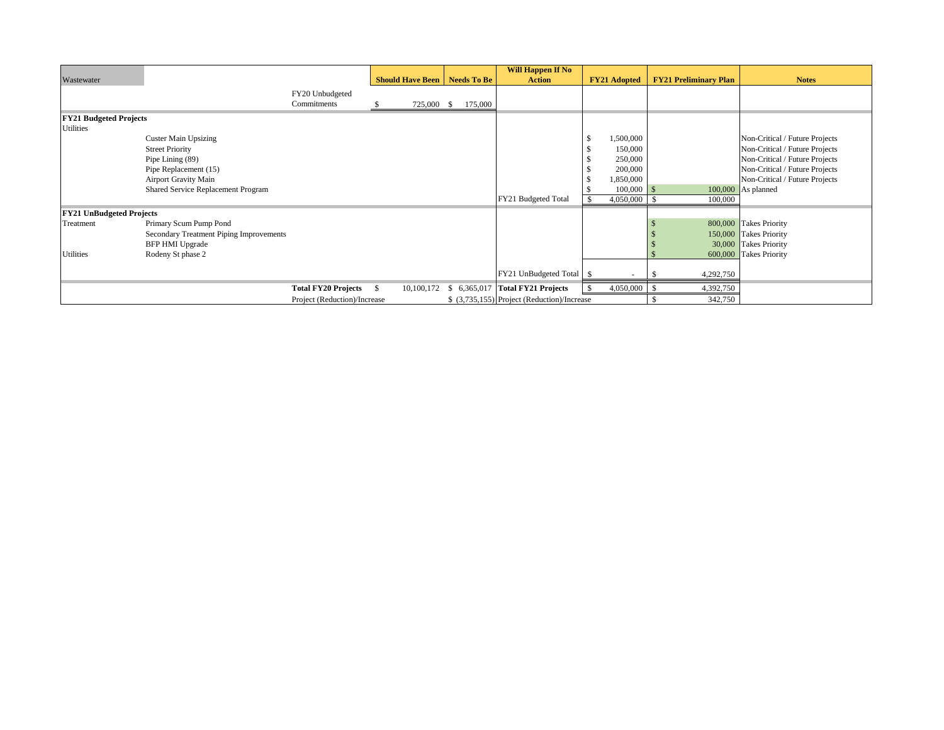|                                 |                                         |                                |    |            |                                       | Will Happen If No                           |                     |                              |                                |
|---------------------------------|-----------------------------------------|--------------------------------|----|------------|---------------------------------------|---------------------------------------------|---------------------|------------------------------|--------------------------------|
| Wastewater                      |                                         |                                |    |            | <b>Should Have Been   Needs To Be</b> | <b>Action</b>                               | <b>FY21 Adopted</b> | <b>FY21 Preliminary Plan</b> | <b>Notes</b>                   |
|                                 |                                         | FY20 Unbudgeted<br>Commitments |    | 725,000 \$ | 175,000                               |                                             |                     |                              |                                |
| <b>FY21 Budgeted Projects</b>   |                                         |                                |    |            |                                       |                                             |                     |                              |                                |
| Utilities                       |                                         |                                |    |            |                                       |                                             |                     |                              |                                |
|                                 | <b>Custer Main Upsizing</b>             |                                |    |            |                                       |                                             | 1,500,000           |                              | Non-Critical / Future Projects |
|                                 | <b>Street Priority</b>                  |                                |    |            |                                       |                                             | 150,000             |                              | Non-Critical / Future Projects |
|                                 | Pipe Lining (89)                        |                                |    |            |                                       |                                             | 250,000             |                              | Non-Critical / Future Projects |
|                                 | Pipe Replacement (15)                   |                                |    |            |                                       |                                             | 200,000             |                              | Non-Critical / Future Projects |
|                                 | <b>Airport Gravity Main</b>             |                                |    |            |                                       |                                             | 1,850,000           |                              | Non-Critical / Future Projects |
|                                 | Shared Service Replacement Program      |                                |    |            |                                       |                                             | 100,000             | -8                           | $100,000$ As planned           |
|                                 |                                         |                                |    |            |                                       | FY21 Budgeted Total                         | 4,050,000           | 100,000<br>-8                |                                |
| <b>FY21 UnBudgeted Projects</b> |                                         |                                |    |            |                                       |                                             |                     |                              |                                |
| Treatment                       | Primary Scum Pump Pond                  |                                |    |            |                                       |                                             |                     |                              | 800,000 Takes Priority         |
|                                 | Secondary Treatment Piping Improvements |                                |    |            |                                       |                                             |                     |                              | 150,000 Takes Priority         |
|                                 | <b>BFP HMI Upgrade</b>                  |                                |    |            |                                       |                                             |                     |                              | 30,000 Takes Priority          |
| Utilities                       | Rodeny St phase 2                       |                                |    |            |                                       |                                             |                     |                              | 600,000 Takes Priority         |
|                                 |                                         |                                |    |            |                                       |                                             |                     |                              |                                |
|                                 |                                         |                                |    |            |                                       | FY21 UnBudgeted Total \$                    |                     | 4,292,750                    |                                |
|                                 |                                         | <b>Total FY20 Projects</b>     | -S | 10,100,172 |                                       | \$ 6,365,017 Total FY21 Projects            | 4,050,000           | 4,392,750<br>- 9             |                                |
|                                 |                                         | Project (Reduction)/Increase   |    |            |                                       | \$ (3,735,155) Project (Reduction)/Increase |                     | 342,750                      |                                |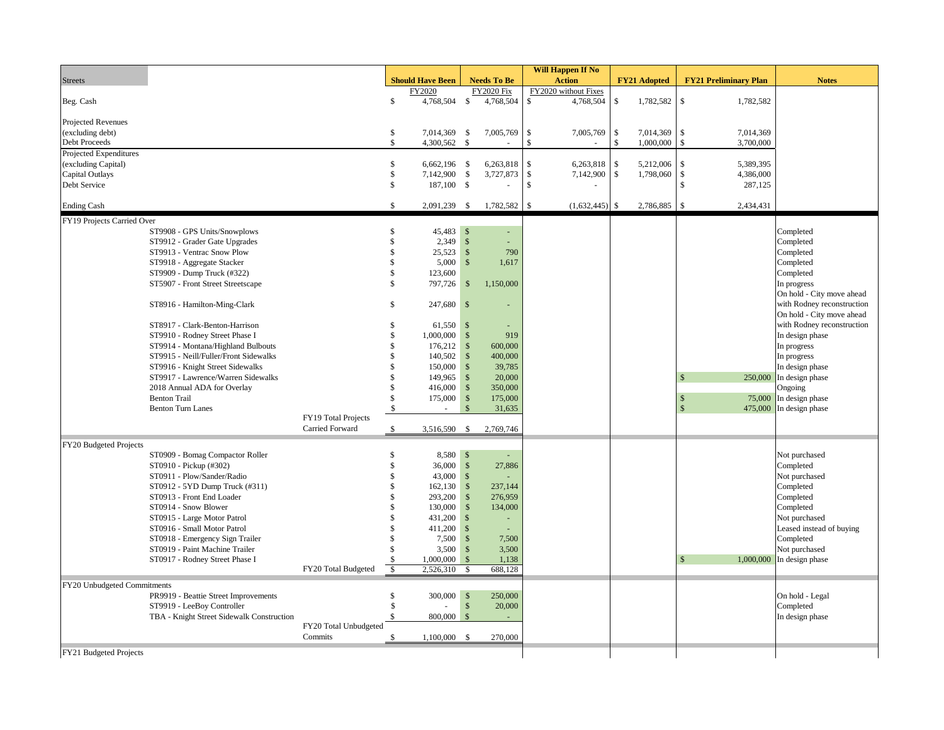|                             |                                           |                       |                    |                         |                    |                    | <b>Will Happen If No</b> |                      |               |                     |                                 |                            |
|-----------------------------|-------------------------------------------|-----------------------|--------------------|-------------------------|--------------------|--------------------|--------------------------|----------------------|---------------|---------------------|---------------------------------|----------------------------|
| <b>Streets</b>              |                                           |                       |                    | <b>Should Have Been</b> |                    | <b>Needs To Be</b> |                          | <b>Action</b>        |               | <b>FY21 Adopted</b> | <b>FY21 Preliminary Plan</b>    | <b>Notes</b>               |
|                             |                                           |                       |                    | FY2020                  |                    | <b>FY2020 Fix</b>  |                          | FY2020 without Fixes |               |                     |                                 |                            |
| Beg. Cash                   |                                           |                       | $\mathbb S$        | 4,768,504 \$            |                    | 4,768,504          | \$                       | 4,768,504            | \$            | 1,782,582           | $\mathbb{S}$<br>1,782,582       |                            |
|                             |                                           |                       |                    |                         |                    |                    |                          |                      |               |                     |                                 |                            |
| Projected Revenues          |                                           |                       |                    |                         |                    |                    |                          |                      |               |                     |                                 |                            |
| (excluding debt)            |                                           |                       | \$                 | 7,014,369               | \$                 | 7,005,769          | \$                       | 7,005,769            | \$            | 7,014,369           | \$<br>7,014,369                 |                            |
| Debt Proceeds               |                                           |                       | \$                 | 4,300,562               | $\mathbf{\hat{s}}$ |                    | $\mathcal{S}$            |                      | \$            | 1,000,000           | \$<br>3,700,000                 |                            |
| Projected Expenditures      |                                           |                       |                    |                         |                    |                    |                          |                      |               |                     |                                 |                            |
| (excluding Capital)         |                                           |                       | \$                 | $6,662,196$ \$          |                    | 6,263,818          | \$                       | 6,263,818            | <sup>\$</sup> | 5,212,006           | 5.389.395<br>$\mathbf{\hat{S}}$ |                            |
| Capital Outlays             |                                           |                       | \$                 | 7,142,900               | $\mathcal{S}$      | $3,727,873$ \$     |                          | 7,142,900            | $\mathbb{S}$  | 1,798,060           | $\mathcal{S}$<br>4,386,000      |                            |
| Debt Service                |                                           |                       | \$                 | 187,100 \$              |                    |                    | \$                       |                      |               |                     | \$<br>287,125                   |                            |
|                             |                                           |                       |                    |                         |                    |                    |                          |                      |               |                     |                                 |                            |
| <b>Ending Cash</b>          |                                           |                       | $\mathcal{S}$      | 2,091,239 \$            |                    | 1,782,582          | \$                       | $(1,632,445)$ \$     |               | 2,786,885           | $\mathbf{\hat{S}}$<br>2,434,431 |                            |
| FY19 Projects Carried Over  |                                           |                       |                    |                         |                    |                    |                          |                      |               |                     |                                 |                            |
|                             | ST9908 - GPS Units/Snowplows              |                       | \$                 | 45,483                  | $\mathbf{s}$       |                    |                          |                      |               |                     |                                 | Completed                  |
|                             | ST9912 - Grader Gate Upgrades             |                       | $\mathbf{\hat{S}}$ | 2,349                   | $\mathbf{\hat{s}}$ | ÷.                 |                          |                      |               |                     |                                 | Completed                  |
|                             | ST9913 - Ventrac Snow Plow                |                       | \$                 | 25,523                  | $\sqrt{3}$         | 790                |                          |                      |               |                     |                                 | Completed                  |
|                             | ST9918 - Aggregate Stacker                |                       | \$                 | 5,000                   | $\mathbf{\hat{s}}$ | 1,617              |                          |                      |               |                     |                                 | Completed                  |
|                             | ST9909 - Dump Truck (#322)                |                       | \$                 | 123,600                 |                    |                    |                          |                      |               |                     |                                 | Completed                  |
|                             | ST5907 - Front Street Streetscape         |                       | \$                 | 797,726                 | \$                 | 1,150,000          |                          |                      |               |                     |                                 | In progress                |
|                             |                                           |                       |                    |                         |                    |                    |                          |                      |               |                     |                                 | On hold - City move ahead  |
|                             | ST8916 - Hamilton-Ming-Clark              |                       | Ŝ                  | $247,680$ \$            |                    |                    |                          |                      |               |                     |                                 | with Rodney reconstruction |
|                             |                                           |                       |                    |                         |                    |                    |                          |                      |               |                     |                                 | On hold - City move ahead  |
|                             | ST8917 - Clark-Benton-Harrison            |                       | \$.                | 61,550                  | $\sqrt{s}$         |                    |                          |                      |               |                     |                                 | with Rodney reconstruction |
|                             | ST9910 - Rodney Street Phase I            |                       | \$                 | 1,000,000               | $\mathbf{\hat{s}}$ | 919                |                          |                      |               |                     |                                 | In design phase            |
|                             | ST9914 - Montana/Highland Bulbouts        |                       | \$                 | 176,212                 | $\sqrt{S}$         | 600,000            |                          |                      |               |                     |                                 | In progress                |
|                             | ST9915 - Neill/Fuller/Front Sidewalks     |                       | \$                 | 140,502                 | $\mathcal{S}$      | 400,000            |                          |                      |               |                     |                                 | In progress                |
|                             | ST9916 - Knight Street Sidewalks          |                       | \$                 | 150,000                 | $\mathcal{S}$      | 39,785             |                          |                      |               |                     |                                 | In design phase            |
|                             | ST9917 - Lawrence/Warren Sidewalks        |                       | \$                 | 149,965                 | $\mathbb{S}$       | 20,000             |                          |                      |               |                     | 250,000                         | In design phase            |
|                             | 2018 Annual ADA for Overlay               |                       | \$                 | 416,000                 | $\mathbb{S}$       | 350,000            |                          |                      |               |                     |                                 | Ongoing                    |
|                             | <b>Benton Trail</b>                       |                       | \$                 | 175,000                 | $\mathcal{S}$      | 175,000            |                          |                      |               |                     | S                               | 75,000 In design phase     |
|                             | <b>Benton Turn Lanes</b>                  |                       | $\mathbb{S}$       |                         | $\mathbf{\hat{S}}$ | 31,635             |                          |                      |               |                     | 475,000                         | In design phase            |
|                             |                                           | FY19 Total Projects   |                    |                         |                    |                    |                          |                      |               |                     |                                 |                            |
|                             |                                           | Carried Forward       | \$                 | 3,516,590               | $\mathbb{S}$       | 2,769,746          |                          |                      |               |                     |                                 |                            |
| FY20 Budgeted Projects      |                                           |                       |                    |                         |                    |                    |                          |                      |               |                     |                                 |                            |
|                             | ST0909 - Bomag Compactor Roller           |                       | \$                 | 8,580 \$                |                    | ÷.                 |                          |                      |               |                     |                                 | Not purchased              |
|                             | ST0910 - Pickup (#302)                    |                       | \$                 | 36,000                  | $\sqrt{S}$         | 27,886             |                          |                      |               |                     |                                 | Completed                  |
|                             | ST0911 - Plow/Sander/Radio                |                       | \$                 | 43,000                  | $\sqrt[6]{5}$      |                    |                          |                      |               |                     |                                 | Not purchased              |
|                             | ST0912 - 5YD Dump Truck (#311)            |                       | \$                 | 162,130                 | $\mathcal{S}$      | 237,144            |                          |                      |               |                     |                                 | Completed                  |
|                             | ST0913 - Front End Loader                 |                       | \$                 | 293,200                 | $\mathcal{S}$      | 276,959            |                          |                      |               |                     |                                 | Completed                  |
|                             | ST0914 - Snow Blower                      |                       | \$                 | 130,000                 | $\mathcal{S}$      | 134,000            |                          |                      |               |                     |                                 | Completed                  |
|                             | ST0915 - Large Motor Patrol               |                       | \$                 | 431,200                 | $\mathcal{S}$      |                    |                          |                      |               |                     |                                 | Not purchased              |
|                             | ST0916 - Small Motor Patrol               |                       | \$                 | 411,200                 | $\mathbf{s}$       | $\sim$             |                          |                      |               |                     |                                 | Leased instead of buying   |
|                             | ST0918 - Emergency Sign Trailer           |                       | \$                 | 7,500                   | $\mathbb{S}$       | 7,500              |                          |                      |               |                     |                                 | Completed                  |
|                             | ST0919 - Paint Machine Trailer            |                       | \$                 | 3,500                   | $\mathbb{S}$       | 3,500              |                          |                      |               |                     |                                 | Not purchased              |
|                             | ST0917 - Rodney Street Phase I            |                       | $\sqrt{5}$         | 1,000,000               | $\mathbf{\hat{s}}$ | 1,138              |                          |                      |               |                     | 1,000,000                       | In design phase            |
|                             |                                           | FY20 Total Budgeted   | $\mathbb{S}$       | 2,526,310               | $\mathcal{S}$      | 688,128            |                          |                      |               |                     |                                 |                            |
|                             |                                           |                       |                    |                         |                    |                    |                          |                      |               |                     |                                 |                            |
| FY20 Unbudgeted Commitments |                                           |                       |                    |                         |                    |                    |                          |                      |               |                     |                                 |                            |
|                             | PR9919 - Beattie Street Improvements      |                       | \$                 | 300,000                 | $\sqrt[6]{3}$      | 250,000            |                          |                      |               |                     |                                 | On hold - Legal            |
|                             | ST9919 - LeeBoy Controller                |                       | \$                 |                         | $\mathbf{\hat{S}}$ | 20,000             |                          |                      |               |                     |                                 | Completed                  |
|                             | TBA - Knight Street Sidewalk Construction | FY20 Total Unbudgeted | \$                 | 800,000                 | $\mathbf{\hat{S}}$ | $\sim$             |                          |                      |               |                     |                                 | In design phase            |
|                             |                                           | Commits               |                    |                         |                    | 270,000            |                          |                      |               |                     |                                 |                            |
|                             |                                           |                       | $\mathbb{S}$       | $1,100,000$ \$          |                    |                    |                          |                      |               |                     |                                 |                            |
| FY21 Budgeted Projects      |                                           |                       |                    |                         |                    |                    |                          |                      |               |                     |                                 |                            |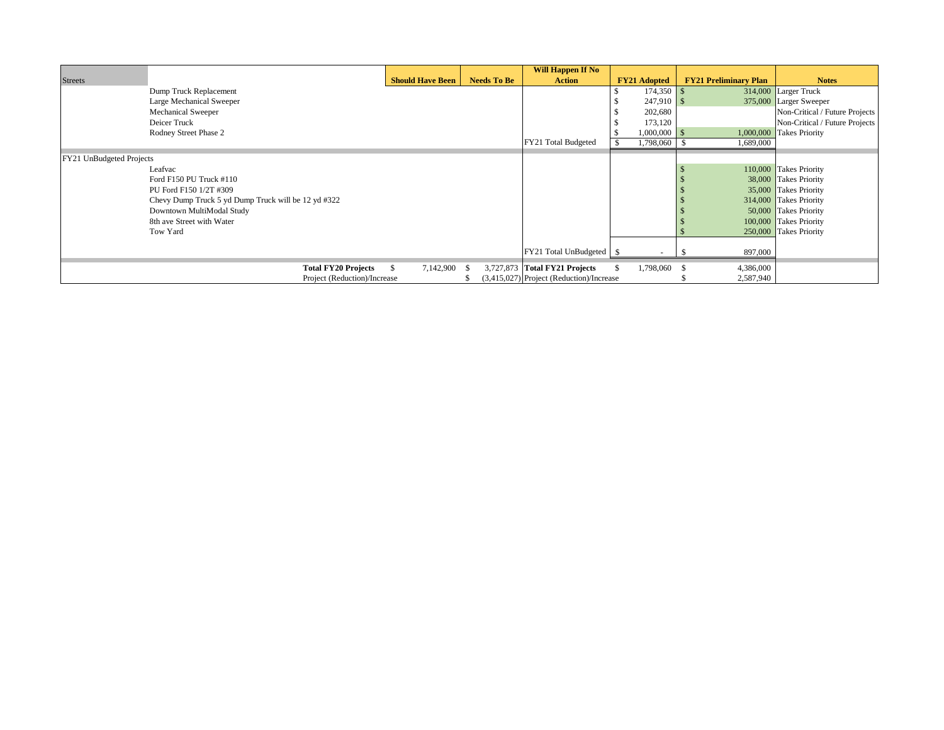|                          |                                                     |                         |                    | <b>Will Happen If No</b>                 |                     |                              |                                |
|--------------------------|-----------------------------------------------------|-------------------------|--------------------|------------------------------------------|---------------------|------------------------------|--------------------------------|
| <b>Streets</b>           |                                                     | <b>Should Have Been</b> | <b>Needs To Be</b> | <b>Action</b>                            | <b>FY21 Adopted</b> | <b>FY21 Preliminary Plan</b> | <b>Notes</b>                   |
|                          | Dump Truck Replacement                              |                         |                    |                                          | 174,350             |                              | 314,000 Larger Truck           |
|                          | Large Mechanical Sweeper                            |                         |                    |                                          | $247,910$ \$        |                              | 375,000 Larger Sweeper         |
|                          | Mechanical Sweeper                                  |                         |                    |                                          | 202,680             |                              | Non-Critical / Future Projects |
|                          | Deicer Truck                                        |                         |                    |                                          | 173,120             |                              | Non-Critical / Future Projects |
|                          | Rodney Street Phase 2                               |                         |                    |                                          | $1,000,000$ \$      |                              | 1,000,000 Takes Priority       |
|                          |                                                     |                         |                    | FY21 Total Budgeted                      | 1,798,060 \$        | 1,689,000                    |                                |
| FY21 UnBudgeted Projects |                                                     |                         |                    |                                          |                     |                              |                                |
|                          | Leafvac                                             |                         |                    |                                          |                     |                              | 110,000 Takes Priority         |
|                          | Ford F150 PU Truck #110                             |                         |                    |                                          |                     |                              | 38,000 Takes Priority          |
|                          | PU Ford F150 1/2T #309                              |                         |                    |                                          |                     |                              | 35,000 Takes Priority          |
|                          | Chevy Dump Truck 5 yd Dump Truck will be 12 yd #322 |                         |                    |                                          |                     |                              | 314,000 Takes Priority         |
|                          | Downtown MultiModal Study                           |                         |                    |                                          |                     |                              | 50,000 Takes Priority          |
|                          | 8th ave Street with Water                           |                         |                    |                                          |                     |                              | 100,000 Takes Priority         |
|                          | Tow Yard                                            |                         |                    |                                          |                     |                              | 250,000 Takes Priority         |
|                          |                                                     |                         |                    |                                          |                     |                              |                                |
|                          |                                                     |                         |                    | FY21 Total UnBudgeted \$                 |                     | 897,000                      |                                |
|                          | <b>Total FY20 Projects</b>                          | S.<br>7,142,900 \$      |                    | 3,727,873 Total FY21 Projects            | 1,798,060 \$        | 4,386,000                    |                                |
|                          | Project (Reduction)/Increase                        |                         |                    | (3,415,027) Project (Reduction)/Increase |                     | 2,587,940                    |                                |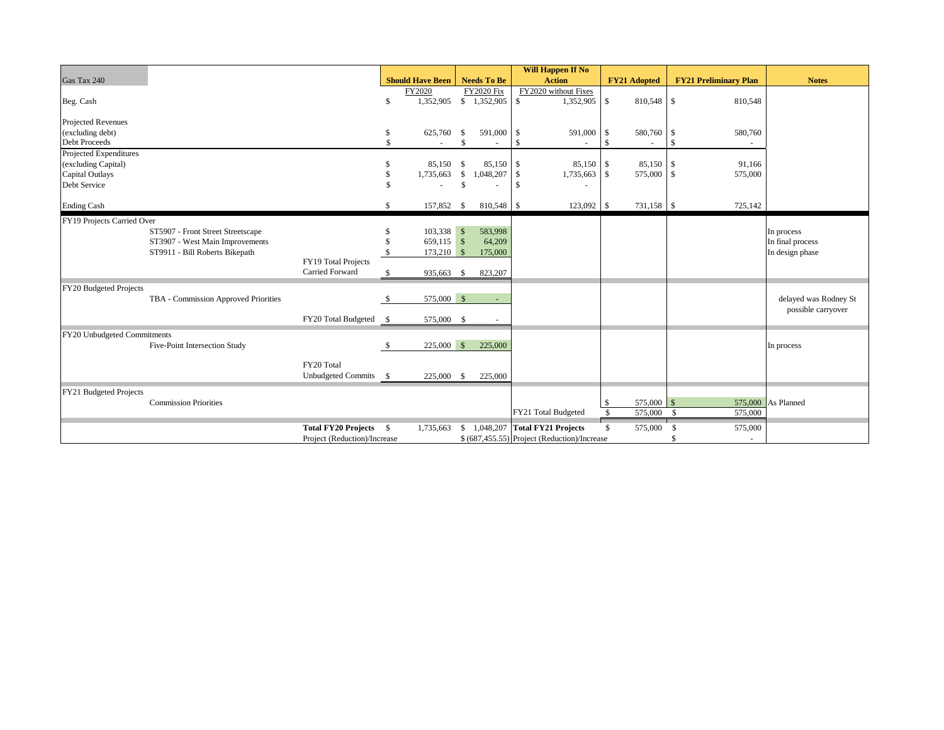|                                        |                                      |                              |                    |                         |                    |                           |    | <b>Will Happen If No</b>                     |               |                     |              |                              |                       |
|----------------------------------------|--------------------------------------|------------------------------|--------------------|-------------------------|--------------------|---------------------------|----|----------------------------------------------|---------------|---------------------|--------------|------------------------------|-----------------------|
| Gas Tax 240                            |                                      |                              |                    | <b>Should Have Been</b> |                    | <b>Needs To Be</b>        |    | <b>Action</b>                                |               | <b>FY21 Adopted</b> |              | <b>FY21 Preliminary Plan</b> | <b>Notes</b>          |
|                                        |                                      |                              |                    | FY2020                  |                    | <b>FY2020 Fix</b>         |    | FY2020 without Fixes                         |               |                     |              |                              |                       |
| Beg. Cash                              |                                      |                              | <sup>\$</sup>      |                         |                    | 1,352,905 \$ 1,352,905 \$ |    | 1,352,905                                    | \$            | 810,548 \$          |              | 810,548                      |                       |
|                                        |                                      |                              |                    |                         |                    |                           |    |                                              |               |                     |              |                              |                       |
| Projected Revenues<br>(excluding debt) |                                      |                              | \$                 | 625,760                 | \$                 | 591,000 \$                |    | 591,000                                      | \$            | 580,760             | -\$          | 580,760                      |                       |
| Debt Proceeds                          |                                      |                              | $\mathbf{\hat{S}}$ |                         |                    |                           | \$ |                                              | $\mathcal{S}$ |                     | -8           |                              |                       |
| Projected Expenditures                 |                                      |                              |                    |                         |                    |                           |    |                                              |               |                     |              |                              |                       |
| (excluding Capital)                    |                                      |                              | S                  | 85,150                  | \$                 | 85,150 \$                 |    | 85,150                                       | -\$           | 85,150 \$           |              | 91,166                       |                       |
| <b>Capital Outlays</b>                 |                                      |                              |                    | 1,735,663               | \$                 | $1,048,207$ \$            |    | 1,735,663 \$                                 |               | 575,000 \$          |              | 575,000                      |                       |
| Debt Service                           |                                      |                              | \$                 |                         | $\mathbf{\hat{S}}$ |                           | -S |                                              |               |                     |              |                              |                       |
|                                        |                                      |                              |                    |                         |                    |                           |    |                                              |               |                     |              |                              |                       |
| <b>Ending Cash</b>                     |                                      |                              | \$                 | 157,852                 | - \$               | 810,548 \$                |    | 123,092 \$                                   |               | 731,158 \$          |              | 725,142                      |                       |
| FY19 Projects Carried Over             |                                      |                              |                    |                         |                    |                           |    |                                              |               |                     |              |                              |                       |
|                                        | ST5907 - Front Street Streetscape    |                              |                    | 103,338 \$              |                    | 583,998                   |    |                                              |               |                     |              |                              | In process            |
|                                        | ST3907 - West Main Improvements      |                              |                    | 659,115 \$              |                    | 64,209                    |    |                                              |               |                     |              |                              | In final process      |
|                                        | ST9911 - Bill Roberts Bikepath       |                              |                    | $173,210$ \$            |                    | 175,000                   |    |                                              |               |                     |              |                              | In design phase       |
|                                        |                                      | FY19 Total Projects          |                    |                         |                    |                           |    |                                              |               |                     |              |                              |                       |
|                                        |                                      | Carried Forward              | \$                 | 935,663 \$              |                    | 823,207                   |    |                                              |               |                     |              |                              |                       |
| FY20 Budgeted Projects                 |                                      |                              |                    |                         |                    |                           |    |                                              |               |                     |              |                              |                       |
|                                        | TBA - Commission Approved Priorities |                              | \$                 | 575,000 \$              |                    | $\sim$                    |    |                                              |               |                     |              |                              | delayed was Rodney St |
|                                        |                                      |                              |                    |                         |                    |                           |    |                                              |               |                     |              |                              | possible carryover    |
|                                        |                                      | FY20 Total Budgeted          | $\mathbf{s}$       | 575,000 \$              |                    | $\sim$                    |    |                                              |               |                     |              |                              |                       |
| FY20 Unbudgeted Commitments            |                                      |                              |                    |                         |                    |                           |    |                                              |               |                     |              |                              |                       |
|                                        | Five-Point Intersection Study        |                              | <sup>S</sup>       | $225,000$ \$            |                    | 225,000                   |    |                                              |               |                     |              |                              | In process            |
|                                        |                                      |                              |                    |                         |                    |                           |    |                                              |               |                     |              |                              |                       |
|                                        |                                      | FY20 Total                   |                    |                         |                    |                           |    |                                              |               |                     |              |                              |                       |
|                                        |                                      | Unbudgeted Commits \$        |                    | 225,000 \$              |                    | 225,000                   |    |                                              |               |                     |              |                              |                       |
| FY21 Budgeted Projects                 |                                      |                              |                    |                         |                    |                           |    |                                              |               |                     |              |                              |                       |
|                                        | <b>Commission Priorities</b>         |                              |                    |                         |                    |                           |    |                                              | $\mathbb{S}$  | $575,000$ \$        |              |                              | 575,000 As Planned    |
|                                        |                                      |                              |                    |                         |                    |                           |    | FY21 Total Budgeted                          | -S            | 575,000             | $\mathbf{s}$ | 575,000                      |                       |
|                                        |                                      | Total FY20 Projects \$       |                    | 1,735,663               | -S                 |                           |    | 1,048,207 Total FY21 Projects                | \$            | 575,000             | - \$         | 575,000                      |                       |
|                                        |                                      | Project (Reduction)/Increase |                    |                         |                    |                           |    | \$ (687,455.55) Project (Reduction)/Increase |               |                     |              |                              |                       |